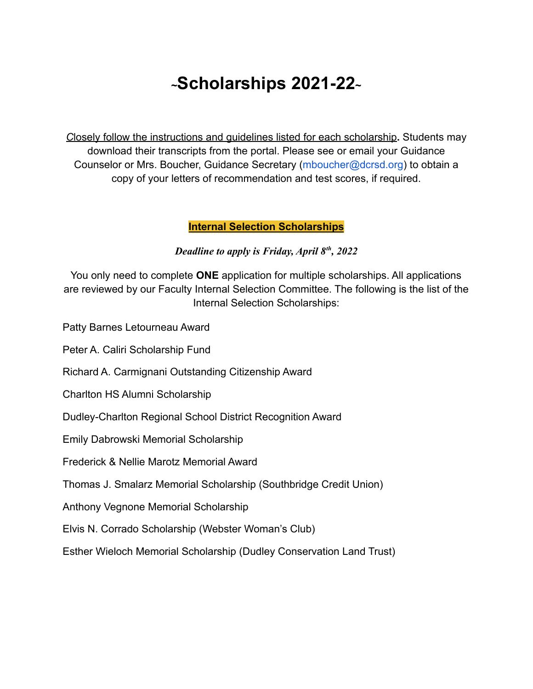# **<sup>~</sup>Scholarships 2021-22<sup>~</sup>**

*C*losely follow the instructions and guidelines listed for each scholarship**.** Students may download their transcripts from the portal. Please see or email your Guidance Counselor or Mrs. Boucher, Guidance Secretary (mboucher@dcrsd.org) to obtain a copy of your letters of recommendation and test scores, if required.

#### **Internal Selection Scholarships**

*Deadline to apply is Friday, April 8th , 2022*

You only need to complete **ONE** application for multiple scholarships. All applications are reviewed by our Faculty Internal Selection Committee. The following is the list of the Internal Selection Scholarships:

Patty Barnes Letourneau Award

Peter A. Caliri Scholarship Fund

Richard A. Carmignani Outstanding Citizenship Award

Charlton HS Alumni Scholarship

Dudley-Charlton Regional School District Recognition Award

Emily Dabrowski Memorial Scholarship

Frederick & Nellie Marotz Memorial Award

Thomas J. Smalarz Memorial Scholarship (Southbridge Credit Union)

Anthony Vegnone Memorial Scholarship

Elvis N. Corrado Scholarship (Webster Woman's Club)

Esther Wieloch Memorial Scholarship (Dudley Conservation Land Trust)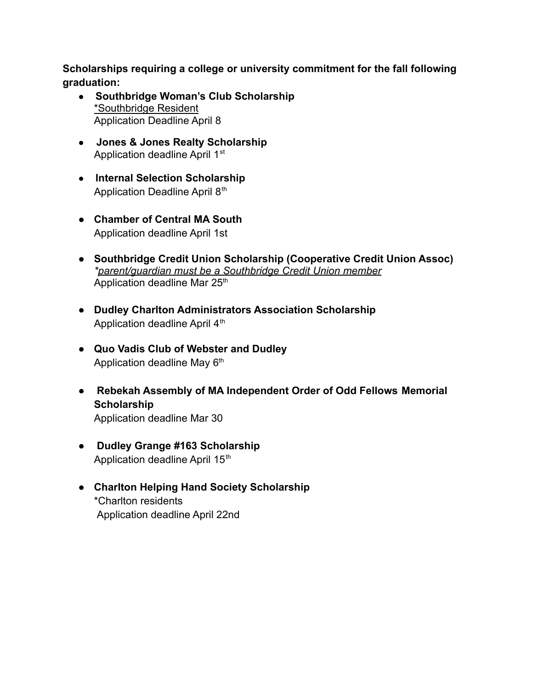**Scholarships requiring a college or university commitment for the fall following graduation:**

- **Southbridge Woman's Club Scholarship** \*Southbridge Resident Application Deadline April 8
- **● Jones & Jones Realty Scholarship** Application deadline April 1<sup>st</sup>
- **Internal Selection Scholarship** Application Deadline April 8<sup>th</sup>
- **Chamber of Central MA South** Application deadline April 1st
- **Southbridge Credit Union Scholarship (Cooperative Credit Union Assoc)** *\*parent/guardian must be a Southbridge Credit Union member* Application deadline Mar 25<sup>th</sup>
- **● Dudley Charlton Administrators Association Scholarship** Application deadline April 4<sup>th</sup>
- **● Quo Vadis Club of Webster and Dudley** Application deadline May  $6<sup>th</sup>$
- **Rebekah Assembly of MA Independent Order of Odd Fellows Memorial Scholarship** Application deadline Mar 30
- **● Dudley Grange #163 Scholarship** Application deadline April 15<sup>th</sup>
- **● Charlton Helping Hand Society Scholarship** \*Charlton residents Application deadline April 22nd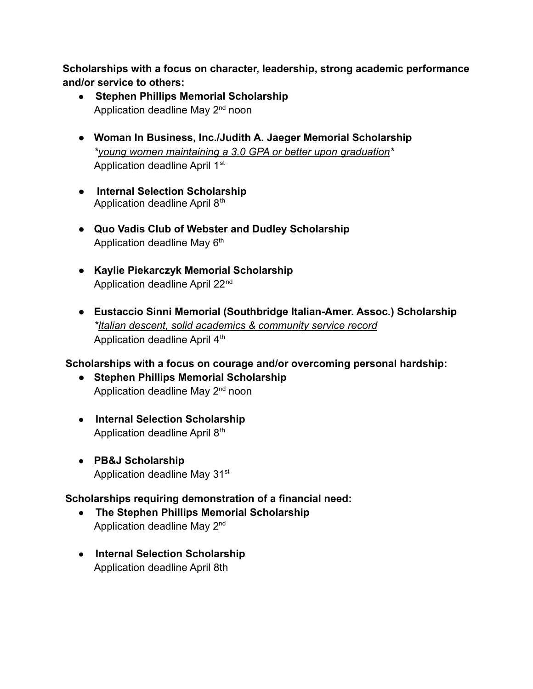**Scholarships with a focus on character, leadership, strong academic performance and/or service to others:**

- **Stephen Phillips Memorial Scholarship** Application deadline May 2<sup>nd</sup> noon
- **● Woman In Business, Inc./Judith A. Jaeger Memorial Scholarship** *\*young women maintaining a 3.0 GPA or better upon graduation\** Application deadline April 1<sup>st</sup>
- **Internal Selection Scholarship** Application deadline April 8<sup>th</sup>
- **● Quo Vadis Club of Webster and Dudley Scholarship** Application deadline May  $6<sup>th</sup>$
- **● Kaylie Piekarczyk Memorial Scholarship** Application deadline April 22<sup>nd</sup>
- **● Eustaccio Sinni Memorial (Southbridge Italian-Amer. Assoc.) Scholarship** *\*Italian descent, solid academics & community service record* Application deadline April  $4<sup>th</sup>$

# **Scholarships with a focus on courage and/or overcoming personal hardship:**

- **● Stephen Phillips Memorial Scholarship** Application deadline May 2<sup>nd</sup> noon
- **Internal Selection Scholarship** Application deadline April 8<sup>th</sup>
- **● PB&J Scholarship** Application deadline May 31<sup>st</sup>

# **Scholarships requiring demonstration of a financial need:**

- **The Stephen Phillips Memorial Scholarship** Application deadline May 2nd
- **Internal Selection Scholarship** Application deadline April 8th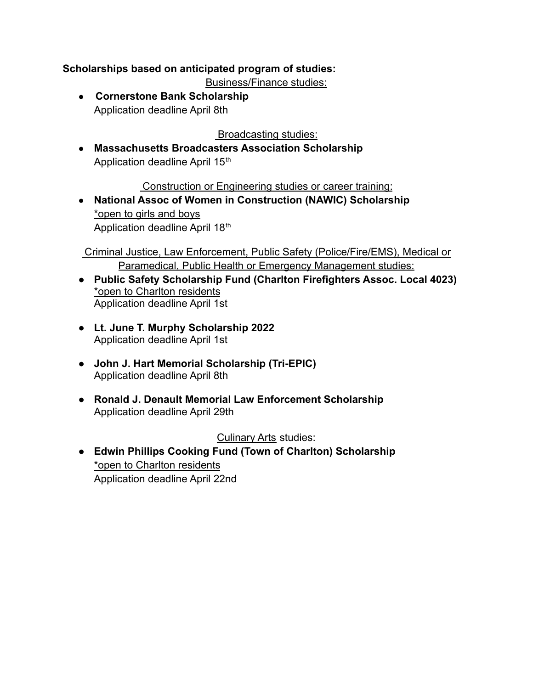# **Scholarships based on anticipated program of studies:**

Business/Finance studies:

● **Cornerstone Bank Scholarship** Application deadline April 8th

Broadcasting studies:

**● Massachusetts Broadcasters Association Scholarship** Application deadline April 15<sup>th</sup>

Construction or Engineering studies or career training:

**● National Assoc of Women in Construction (NAWIC) Scholarship** \*open to girls and boys Application deadline April 18th

Criminal Justice, Law Enforcement, Public Safety (Police/Fire/EMS), Medical or Paramedical, Public Health or Emergency Management studies:

- **● Public Safety Scholarship Fund (Charlton Firefighters Assoc. Local 4023)** \*open to Charlton residents Application deadline April 1st
- **● Lt. June T. Murphy Scholarship 2022** Application deadline April 1st
- **● John J. Hart Memorial Scholarship (Tri-EPIC)** Application deadline April 8th
- **● Ronald J. Denault Memorial Law Enforcement Scholarship** Application deadline April 29th

Culinary Arts studies:

**● Edwin Phillips Cooking Fund (Town of Charlton) Scholarship** \*open to Charlton residents Application deadline April 22nd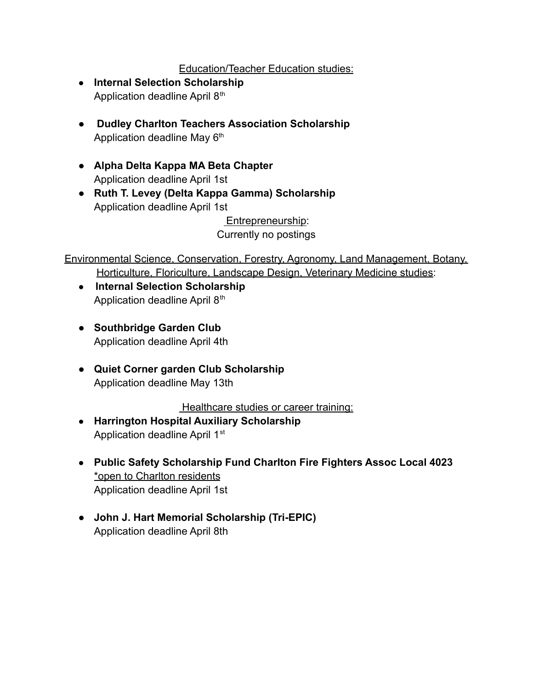# Education/Teacher Education studies:

- **● Internal Selection Scholarship** Application deadline April 8<sup>th</sup>
- **Dudley Charlton Teachers Association Scholarship** Application deadline May 6<sup>th</sup>
- **Alpha Delta Kappa MA Beta Chapter** Application deadline April 1st
- **● Ruth T. Levey (Delta Kappa Gamma) Scholarship** Application deadline April 1st

Entrepreneurship: Currently no postings

Environmental Science, Conservation, Forestry, Agronomy, Land Management, Botany, Horticulture, Floriculture, Landscape Design, Veterinary Medicine studies:

- **Internal Selection Scholarship** Application deadline April 8<sup>th</sup>
- **● Southbridge Garden Club** Application deadline April 4th
- **● Quiet Corner garden Club Scholarship** Application deadline May 13th

Healthcare studies or career training:

- **● Harrington Hospital Auxiliary Scholarship** Application deadline April 1<sup>st</sup>
- **● Public Safety Scholarship Fund Charlton Fire Fighters Assoc Local 4023** \*open to Charlton residents Application deadline April 1st
- **● John J. Hart Memorial Scholarship (Tri-EPIC)** Application deadline April 8th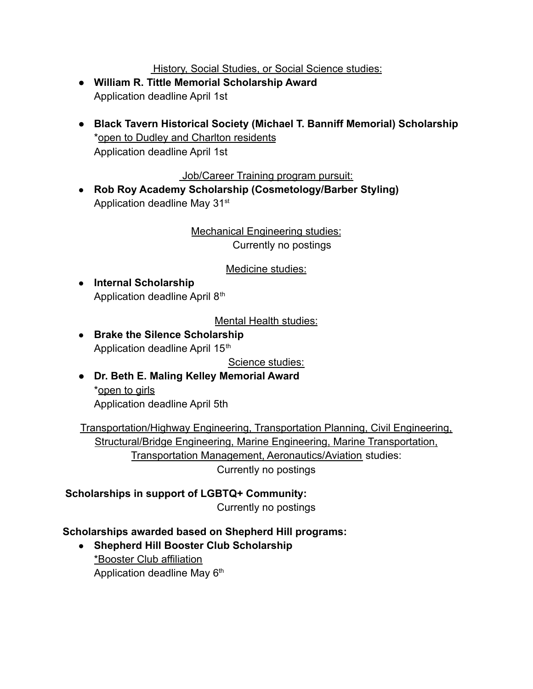History, Social Studies, or Social Science studies:

- **● William R. Tittle Memorial Scholarship Award** Application deadline April 1st
- **● Black Tavern Historical Society (Michael T. Banniff Memorial) Scholarship** \*open to Dudley and Charlton residents Application deadline April 1st

Job/Career Training program pursuit:

**● Rob Roy Academy Scholarship (Cosmetology/Barber Styling)** Application deadline May 31<sup>st</sup>

> Mechanical Engineering studies: Currently no postings

> > Medicine studies:

**● Internal Scholarship** Application deadline April 8<sup>th</sup>

Mental Health studies:

**● Brake the Silence Scholarship** Application deadline April 15<sup>th</sup>

Science studies:

**● Dr. Beth E. Maling Kelley Memorial Award** \*open to girls Application deadline April 5th

Transportation/Highway Engineering, Transportation Planning, Civil Engineering, Structural/Bridge Engineering, Marine Engineering, Marine Transportation, Transportation Management, Aeronautics/Aviation studies: Currently no postings

**Scholarships in support of LGBTQ+ Community:**

Currently no postings

#### **Scholarships awarded based on Shepherd Hill programs:**

**● Shepherd Hill Booster Club Scholarship** \*Booster Club affiliation Application deadline May 6<sup>th</sup>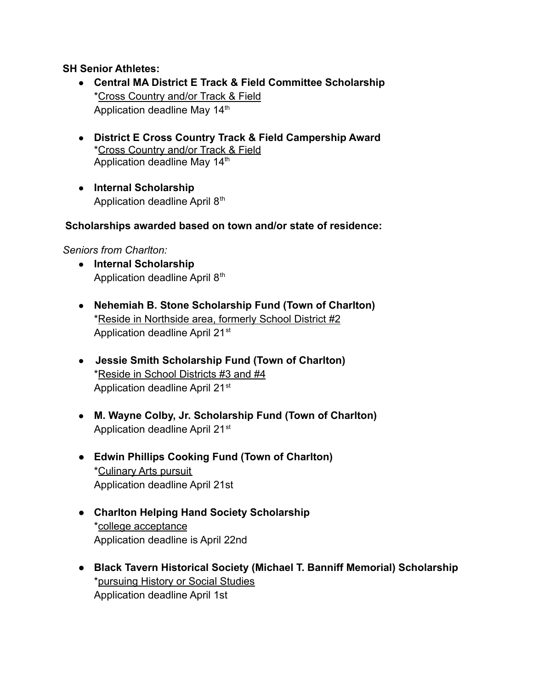### **SH Senior Athletes:**

- **● Central MA District E Track & Field Committee Scholarship** \*Cross Country and/or Track & Field Application deadline May 14<sup>th</sup>
- **● District E Cross Country Track & Field Campership Award** \*Cross Country and/or Track & Field Application deadline May 14<sup>th</sup>
- **● Internal Scholarship** Application deadline April 8<sup>th</sup>

### **Scholarships awarded based on town and/or state of residence:**

#### *Seniors from Charlton:*

- **● Internal Scholarship** Application deadline April 8<sup>th</sup>
- **● Nehemiah B. Stone Scholarship Fund (Town of Charlton)** \*Reside in Northside area, formerly School District #2 Application deadline April 21<sup>st</sup>
- **Jessie Smith Scholarship Fund (Town of Charlton)** \*Reside in School Districts #3 and #4 Application deadline April 21<sup>st</sup>
- **M. Wayne Colby, Jr. Scholarship Fund (Town of Charlton)** Application deadline April 21<sup>st</sup>
- **Edwin Phillips Cooking Fund (Town of Charlton)** \*Culinary Arts pursuit Application deadline April 21st
- **● Charlton Helping Hand Society Scholarship** \*college acceptance Application deadline is April 22nd
- **● Black Tavern Historical Society (Michael T. Banniff Memorial) Scholarship** \*pursuing History or Social Studies Application deadline April 1st